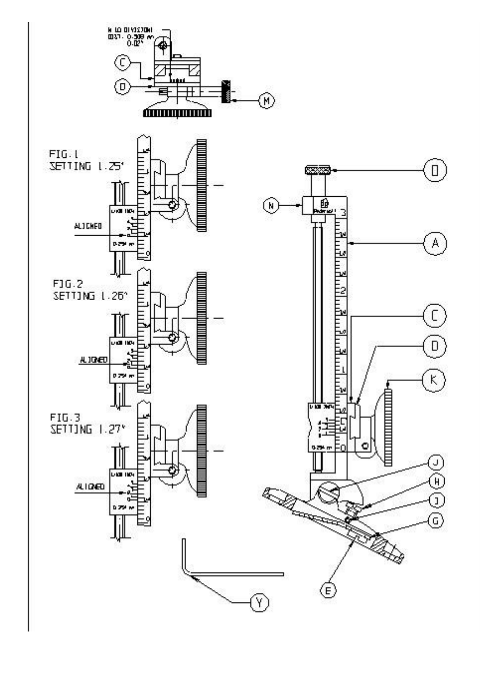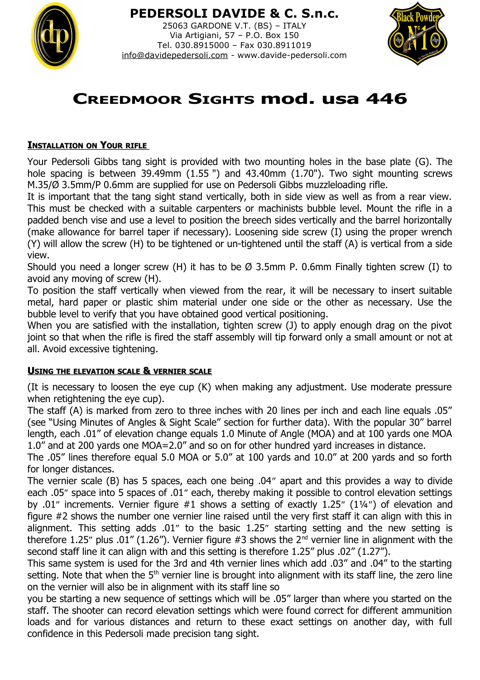

# **PEDERSOLI DAVIDE & C. S.n.c.**

25063 GARDONE V.T. (BS) – ITALY Via Artigiani, 57 – P.O. Box 150 Tel. 030.8915000 – Fax 030.8911019 [info@davidepedersoli.com](mailto:info@davidepedersoli.com) - www.davide-pedersoli.com



# **CREEDMOOR SIGHTS mod. usa 446**

## **INSTALLATION ON YOUR RIFLE**

Your Pedersoli Gibbs tang sight is provided with two mounting holes in the base plate (G). The hole spacing is between 39.49mm (1.55 ") and 43.40mm (1.70"). Two sight mounting screws M.35/Ø 3.5mm/P 0.6mm are supplied for use on Pedersoli Gibbs muzzleloading rifle.

It is important that the tang sight stand vertically, both in side view as well as from a rear view. This must be checked with a suitable carpenters or machinists bubble level. Mount the rifle in a padded bench vise and use a level to position the breech sides vertically and the barrel horizontally (make allowance for barrel taper if necessary). Loosening side screw (I) using the proper wrench (Y) will allow the screw (H) to be tightened or un-tightened until the staff (A) is vertical from a side view.

Should you need a longer screw (H) it has to be  $\varnothing$  3.5mm P. 0.6mm Finally tighten screw (I) to avoid any moving of screw (H).

To position the staff vertically when viewed from the rear, it will be necessary to insert suitable metal, hard paper or plastic shim material under one side or the other as necessary. Use the bubble level to verify that you have obtained good vertical positioning.

When you are satisfied with the installation, tighten screw (J) to apply enough drag on the pivot joint so that when the rifle is fired the staff assembly will tip forward only a small amount or not at all. Avoid excessive tightening.

## **USING THE ELEVATION SCALE & VERNIER SCALE**

(It is necessary to loosen the eye cup (K) when making any adjustment. Use moderate pressure when retightening the eye cup).

The staff (A) is marked from zero to three inches with 20 lines per inch and each line equals .05" (see "Using Minutes of Angles & Sight Scale" section for further data). With the popular 30" barrel length, each .01" of elevation change equals 1.0 Minute of Angle (MOA) and at 100 yards one MOA 1.0" and at 200 yards one MOA=2.0" and so on for other hundred yard increases in distance.

The .05" lines therefore equal 5.0 MOA or 5.0" at 100 yards and 10.0" at 200 yards and so forth for longer distances.

The vernier scale (B) has 5 spaces, each one being .04" apart and this provides a way to divide each .05" space into 5 spaces of .01" each, thereby making it possible to control elevation settings by .01" increments. Vernier figure  $#1$  shows a setting of exactly 1.25" (1¼") of elevation and figure #2 shows the number one vernier line raised until the very first staff it can align with this in alignment. This setting adds  $.01''$  to the basic 1.25" starting setting and the new setting is therefore 1.25" plus .01" (1.26"). Vernier figure #3 shows the  $2^{nd}$  vernier line in alignment with the second staff line it can align with and this setting is therefore 1.25" plus .02" (1.27").

This same system is used for the 3rd and 4th vernier lines which add .03" and .04" to the starting setting. Note that when the 5<sup>th</sup> vernier line is brought into alignment with its staff line, the zero line on the vernier will also be in alignment with its staff line so

you be starting a new sequence of settings which will be .05" larger than where you started on the staff. The shooter can record elevation settings which were found correct for different ammunition loads and for various distances and return to these exact settings on another day, with full confidence in this Pedersoli made precision tang sight.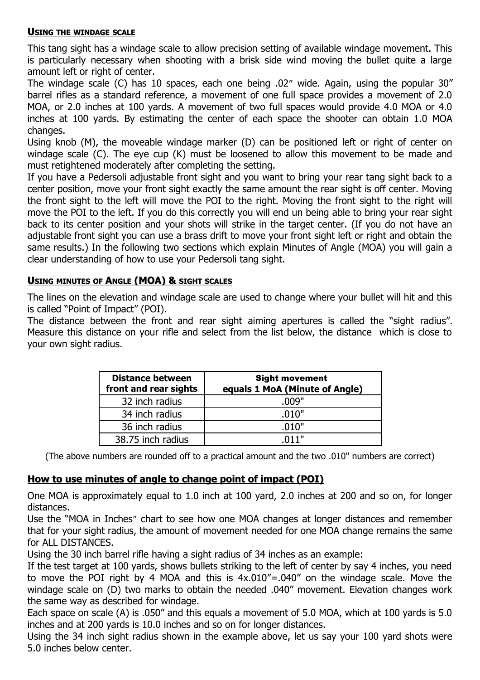#### **USING THE WINDAGE SCALE**

This tang sight has a windage scale to allow precision setting of available windage movement. This is particularly necessary when shooting with a brisk side wind moving the bullet quite a large amount left or right of center.

The windage scale (C) has 10 spaces, each one being .02" wide. Again, using the popular 30" barrel rifles as a standard reference, a movement of one full space provides a movement of 2.0 MOA, or 2.0 inches at 100 yards. A movement of two full spaces would provide 4.0 MOA or 4.0 inches at 100 yards. By estimating the center of each space the shooter can obtain 1.0 MOA changes.

Using knob (M), the moveable windage marker (D) can be positioned left or right of center on windage scale (C). The eye cup (K) must be loosened to allow this movement to be made and must retightened moderately after completing the setting.

If you have a Pedersoli adjustable front sight and you want to bring your rear tang sight back to a center position, move your front sight exactly the same amount the rear sight is off center. Moving the front sight to the left will move the POI to the right. Moving the front sight to the right will move the POI to the left. If you do this correctly you will end un being able to bring your rear sight back to its center position and your shots will strike in the target center. (If you do not have an adjustable front sight you can use a brass drift to move your front sight left or right and obtain the same results.) In the following two sections which explain Minutes of Angle (MOA) you will gain a clear understanding of how to use your Pedersoli tang sight.

#### **USING MINUTES OF ANGLE (MOA) & SIGHT SCALES**

The lines on the elevation and windage scale are used to change where your bullet will hit and this is called "Point of Impact" (POI).

The distance between the front and rear sight aiming apertures is called the "sight radius". Measure this distance on your rifle and select from the list below, the distance which is close to your own sight radius.

| <b>Distance between</b><br>front and rear sights | <b>Sight movement</b><br>equals 1 MoA (Minute of Angle) |  |  |
|--------------------------------------------------|---------------------------------------------------------|--|--|
| 32 inch radius                                   | .009"                                                   |  |  |
| 34 inch radius                                   | .010"                                                   |  |  |
| 36 inch radius                                   | .010"                                                   |  |  |
| 38.75 inch radius                                | .011"                                                   |  |  |

(The above numbers are rounded off to a practical amount and the two .010" numbers are correct)

## **How to use minutes of angle to change point of impact (POI)**

One MOA is approximately equal to 1.0 inch at 100 yard, 2.0 inches at 200 and so on, for longer distances.

Use the "MOA in Inches" chart to see how one MOA changes at longer distances and remember that for your sight radius, the amount of movement needed for one MOA change remains the same for ALL DISTANCES.

Using the 30 inch barrel rifle having a sight radius of 34 inches as an example:

If the test target at 100 yards, shows bullets striking to the left of center by say 4 inches, you need to move the POI right by 4 MOA and this is 4x.010"=.040" on the windage scale. Move the windage scale on (D) two marks to obtain the needed .040" movement. Elevation changes work the same way as described for windage.

Each space on scale (A) is .050" and this equals a movement of 5.0 MOA, which at 100 yards is 5.0 inches and at 200 yards is 10.0 inches and so on for longer distances.

Using the 34 inch sight radius shown in the example above, let us say your 100 yard shots were 5.0 inches below center.